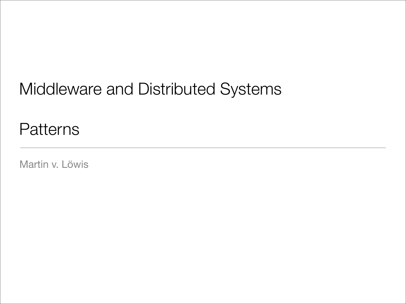## Middleware and Distributed Systems

#### **Patterns**

Martin v. Löwis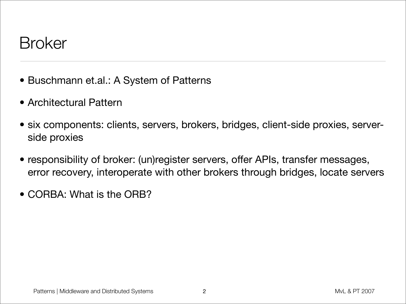#### Broker

- Buschmann et.al.: A System of Patterns
- Architectural Pattern
- six components: clients, servers, brokers, bridges, client-side proxies, serverside proxies
- responsibility of broker: (un)register servers, offer APIs, transfer messages, error recovery, interoperate with other brokers through bridges, locate servers
- CORBA: What is the ORB?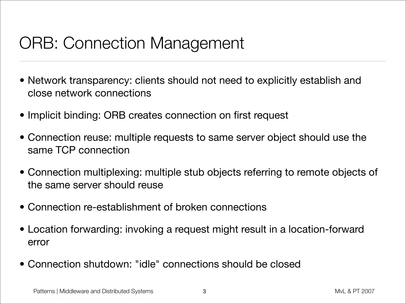# ORB: Connection Management

- Network transparency: clients should not need to explicitly establish and close network connections
- Implicit binding: ORB creates connection on first request
- Connection reuse: multiple requests to same server object should use the same TCP connection
- Connection multiplexing: multiple stub objects referring to remote objects of the same server should reuse
- Connection re-establishment of broken connections
- Location forwarding: invoking a request might result in a location-forward error
- Connection shutdown: "idle" connections should be closed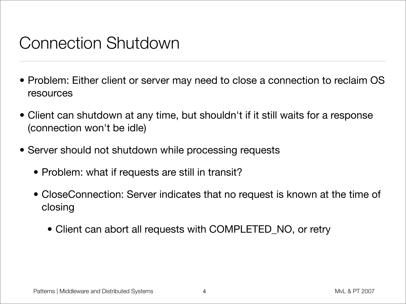## Connection Shutdown

- Problem: Either client or server may need to close a connection to reclaim OS resources
- Client can shutdown at any time, but shouldn't if it still waits for a response (connection won't be idle)
- Server should not shutdown while processing requests
	- Problem: what if requests are still in transit?
	- CloseConnection: Server indicates that no request is known at the time of closing
		- Client can abort all requests with COMPLETED\_NO, or retry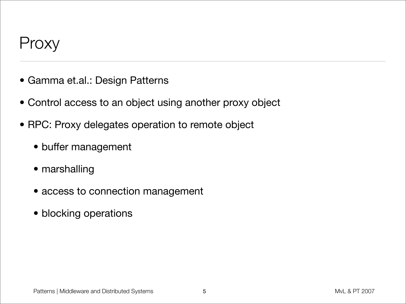

- Gamma et.al.: Design Patterns
- Control access to an object using another proxy object
- RPC: Proxy delegates operation to remote object
	- buffer management
	- marshalling
	- access to connection management
	- blocking operations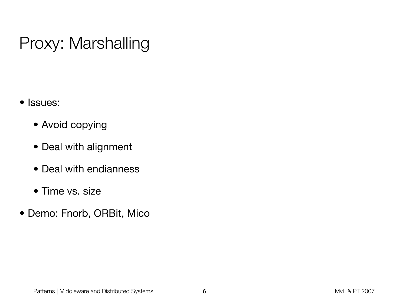# Proxy: Marshalling

- Issues:
	- Avoid copying
	- Deal with alignment
	- Deal with endianness
	- Time vs. size
- Demo: Fnorb, ORBit, Mico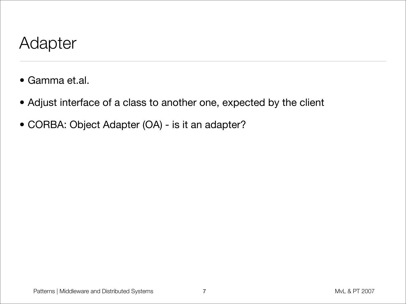#### Adapter

- Gamma et.al.
- Adjust interface of a class to another one, expected by the client
- CORBA: Object Adapter (OA) is it an adapter?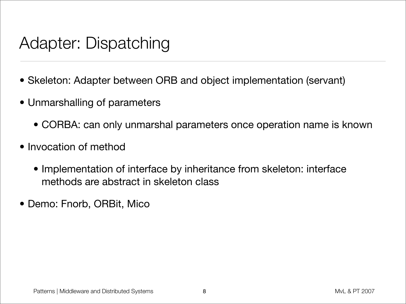#### Adapter: Dispatching

- Skeleton: Adapter between ORB and object implementation (servant)
- Unmarshalling of parameters
	- CORBA: can only unmarshal parameters once operation name is known
- Invocation of method
	- Implementation of interface by inheritance from skeleton: interface methods are abstract in skeleton class
- Demo: Fnorb, ORBit, Mico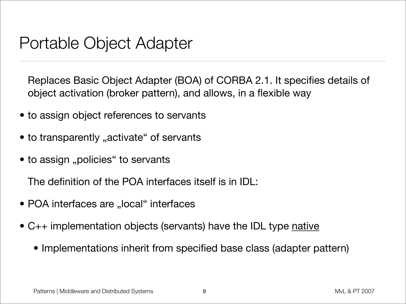#### Portable Object Adapter

Replaces Basic Object Adapter (BOA) of CORBA 2.1. It specifies details of object activation (broker pattern), and allows, in a flexible way

- to assign object references to servants
- to transparently "activate" of servants
- to assign "policies" to servants

The definition of the POA interfaces itself is in IDL:

- POA interfaces are "local" interfaces
- C<sub>++</sub> implementation objects (servants) have the IDL type native
	- Implementations inherit from specified base class (adapter pattern)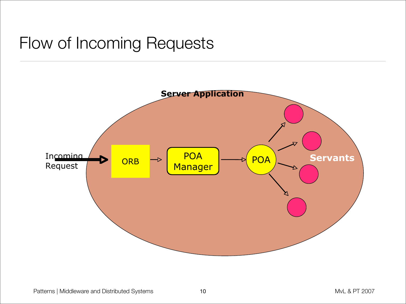## Flow of Incoming Requests

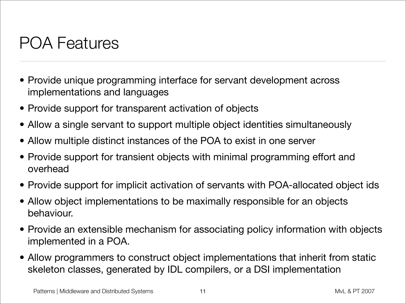### POA Features

- Provide unique programming interface for servant development across implementations and languages
- Provide support for transparent activation of objects
- Allow a single servant to support multiple object identities simultaneously
- Allow multiple distinct instances of the POA to exist in one server
- Provide support for transient objects with minimal programming effort and overhead
- Provide support for implicit activation of servants with POA-allocated object ids
- Allow object implementations to be maximally responsible for an objects behaviour.
- Provide an extensible mechanism for associating policy information with objects implemented in a POA.
- Allow programmers to construct object implementations that inherit from static skeleton classes, generated by IDL compilers, or a DSI implementation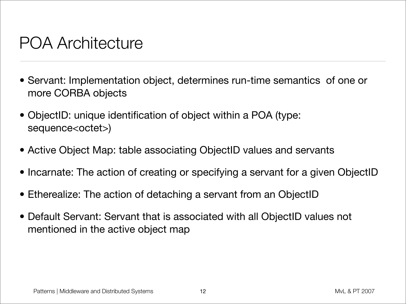#### POA Architecture

- Servant: Implementation object, determines run-time semantics of one or more CORBA objects
- ObjectID: unique identification of object within a POA (type: sequence<octet>)
- Active Object Map: table associating ObjectID values and servants
- Incarnate: The action of creating or specifying a servant for a given ObjectID
- Etherealize: The action of detaching a servant from an ObjectID
- Default Servant: Servant that is associated with all ObjectID values not mentioned in the active object map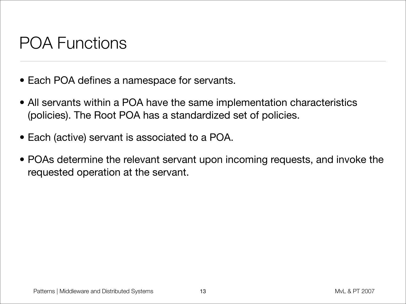# POA Functions

- Each POA defines a namespace for servants.
- All servants within a POA have the same implementation characteristics (policies). The Root POA has a standardized set of policies.
- Each (active) servant is associated to a POA.
- POAs determine the relevant servant upon incoming requests, and invoke the requested operation at the servant.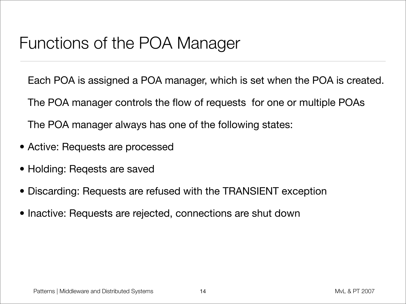## Functions of the POA Manager

Each POA is assigned a POA manager, which is set when the POA is created.

The POA manager controls the flow of requests for one or multiple POAs

The POA manager always has one of the following states:

- Active: Requests are processed
- Holding: Reqests are saved
- Discarding: Requests are refused with the TRANSIENT exception
- Inactive: Requests are rejected, connections are shut down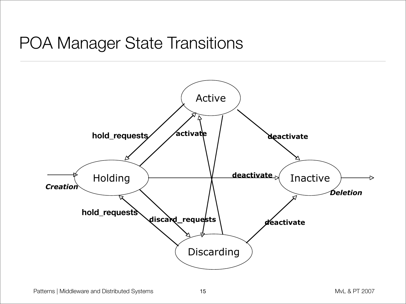## POA Manager State Transitions

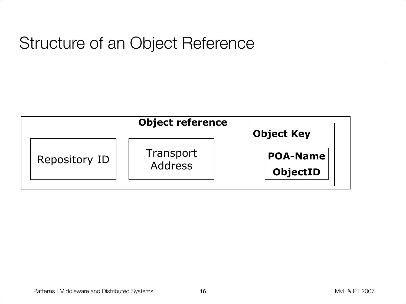## Structure of an Object Reference

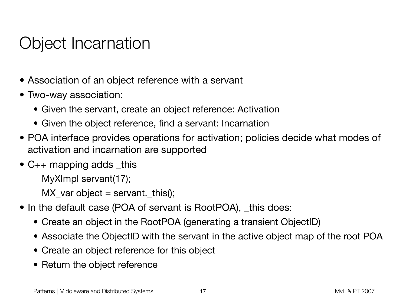# Object Incarnation

- Association of an object reference with a servant
- Two-way association:
	- Given the servant, create an object reference: Activation
	- Given the object reference, find a servant: Incarnation
- POA interface provides operations for activation; policies decide what modes of activation and incarnation are supported
- C<sub>++</sub> mapping adds \_this

MyXImpl servant(17);

 $MX_{\text{av}}$  object = servant. this();

- In the default case (POA of servant is RootPOA), \_this does:
	- Create an object in the RootPOA (generating a transient ObjectID)
	- Associate the ObjectID with the servant in the active object map of the root POA
	- Create an object reference for this object
	- Return the object reference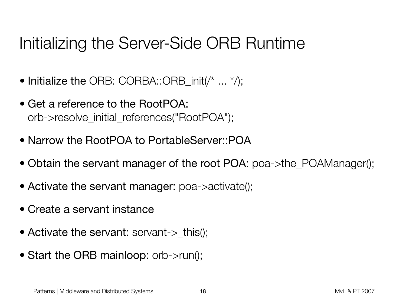## Initializing the Server-Side ORB Runtime

- Initialize the ORB: CORBA::ORB\_init( $\ell^*$  ...  $\ell$ );
- Get a reference to the RootPOA: orb->resolve\_initial\_references("RootPOA");
- Narrow the RootPOA to PortableServer::POA
- Obtain the servant manager of the root POA: poa->the\_POAManager();
- Activate the servant manager: poa->activate();
- Create a servant instance
- Activate the servant: servant->\_this();
- Start the ORB mainloop: orb->run();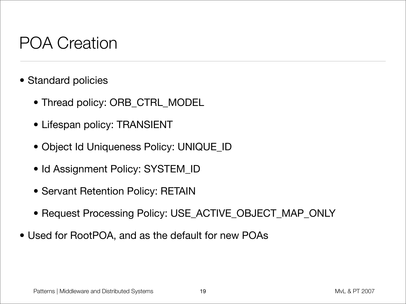# POA Creation

- Standard policies
	- Thread policy: ORB\_CTRL\_MODEL
	- Lifespan policy: TRANSIENT
	- Object Id Uniqueness Policy: UNIQUE\_ID
	- Id Assignment Policy: SYSTEM\_ID
	- Servant Retention Policy: RETAIN
	- Request Processing Policy: USE\_ACTIVE\_OBJECT\_MAP\_ONLY
- Used for RootPOA, and as the default for new POAs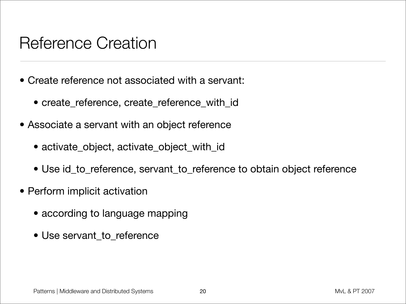#### Reference Creation

- Create reference not associated with a servant:
	- create\_reference, create\_reference\_with\_id
- Associate a servant with an object reference
	- activate\_object, activate\_object\_with\_id
	- Use id\_to\_reference, servant\_to\_reference to obtain object reference
- Perform implicit activation
	- according to language mapping
	- Use servant\_to\_reference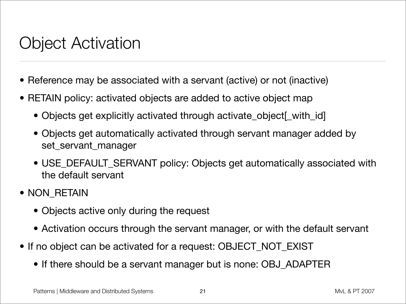## Object Activation

- Reference may be associated with a servant (active) or not (inactive)
- RETAIN policy: activated objects are added to active object map
	- Objects get explicitly activated through activate\_object[\_with\_id]
	- Objects get automatically activated through servant manager added by set\_servant\_manager
	- USE\_DEFAULT\_SERVANT policy: Objects get automatically associated with the default servant
- NON\_RETAIN
	- Objects active only during the request
	- Activation occurs through the servant manager, or with the default servant
- If no object can be activated for a request: OBJECT\_NOT\_EXIST
	- If there should be a servant manager but is none: OBJ\_ADAPTER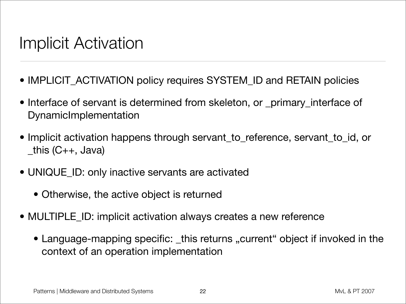#### Implicit Activation

- IMPLICIT\_ACTIVATION policy requires SYSTEM\_ID and RETAIN policies
- Interface of servant is determined from skeleton, or \_primary\_interface of DynamicImplementation
- Implicit activation happens through servant\_to\_reference, servant\_to\_id, or  $_$  this (C++, Java)
- UNIQUE\_ID: only inactive servants are activated
	- Otherwise, the active object is returned
- MULTIPLE\_ID: implicit activation always creates a new reference
	- Language-mapping specific: \_this returns "current" object if invoked in the context of an operation implementation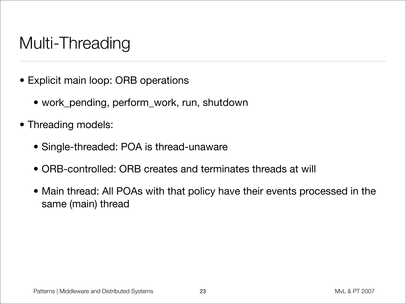# Multi-Threading

- Explicit main loop: ORB operations
	- work\_pending, perform\_work, run, shutdown
- Threading models:
	- Single-threaded: POA is thread-unaware
	- ORB-controlled: ORB creates and terminates threads at will
	- Main thread: All POAs with that policy have their events processed in the same (main) thread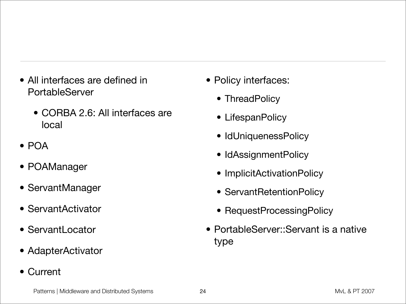- All interfaces are defined in PortableServer
	- CORBA 2.6: All interfaces are local
- POA
- POAManager
- ServantManager
- ServantActivator
- ServantLocator
- AdapterActivator
- Current
- Policy interfaces:
	- ThreadPolicy
	- LifespanPolicy
	- IdUniquenessPolicy
	- IdAssignmentPolicy
	- ImplicitActivationPolicy
	- ServantRetentionPolicy
	- RequestProcessingPolicy
- PortableServer::Servant is a native type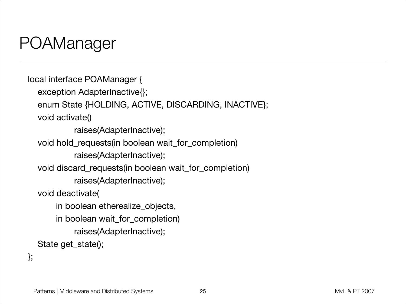## POAManager

```
local interface POAManager {
  exception AdapterInactive{};
  enum State {HOLDING, ACTIVE, DISCARDING, INACTIVE};
  void activate()
           raises(AdapterInactive);
  void hold_requests(in boolean wait_for_completion)
           raises(AdapterInactive);
  void discard_requests(in boolean wait_for_completion)
           raises(AdapterInactive);
  void deactivate(
       in boolean etherealize_objects,
       in boolean wait_for_completion)
           raises(AdapterInactive);
  State get_state();
};
```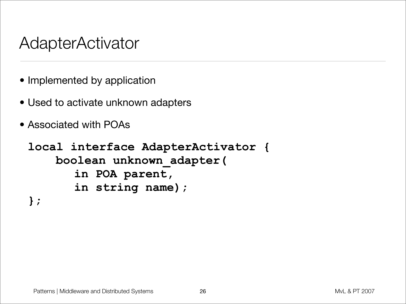#### AdapterActivator

- Implemented by application
- Used to activate unknown adapters
- Associated with POAs

```
local interface AdapterActivator {
    boolean unknown_adapter(
      in POA parent,
      in string name);
};
```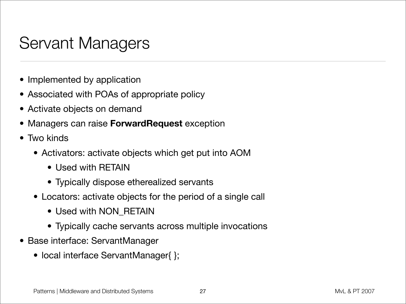## Servant Managers

- Implemented by application
- Associated with POAs of appropriate policy
- Activate objects on demand
- Managers can raise **ForwardRequest** exception
- Two kinds
	- Activators: activate objects which get put into AOM
		- Used with RETAIN
		- Typically dispose etherealized servants
	- Locators: activate objects for the period of a single call
		- Used with NON\_RETAIN
		- Typically cache servants across multiple invocations
- Base interface: ServantManager
	- local interface ServantManager{ };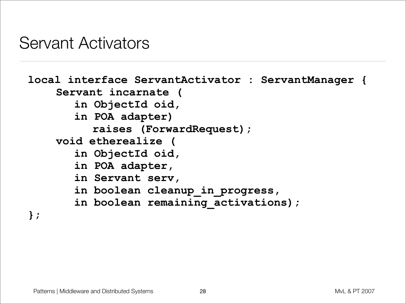#### Servant Activators

```
local interface ServantActivator : ServantManager {
    Servant incarnate (
       in ObjectId oid,
       in POA adapter)
          raises (ForwardRequest);
    void etherealize (
       in ObjectId oid,
       in POA adapter,
       in Servant serv,
       in boolean cleanup_in_progress,
       in boolean remaining_activations);
};
```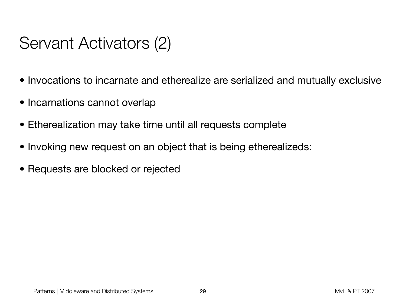## Servant Activators (2)

- Invocations to incarnate and etherealize are serialized and mutually exclusive
- Incarnations cannot overlap
- Etherealization may take time until all requests complete
- Invoking new request on an object that is being etherealizeds:
- Requests are blocked or rejected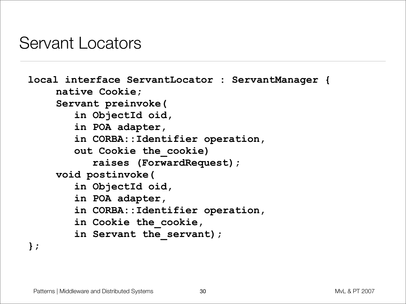#### Servant Locators

```
local interface ServantLocator : ServantManager {
    native Cookie;
    Servant preinvoke(
       in ObjectId oid,
       in POA adapter,
       in CORBA::Identifier operation,
       out Cookie the_cookie)
          raises (ForwardRequest);
    void postinvoke(
       in ObjectId oid,
       in POA adapter,
       in CORBA::Identifier operation,
       in Cookie the_cookie,
       in Servant the servant);
```
**};**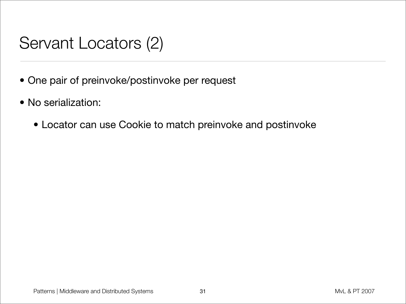# Servant Locators (2)

- One pair of preinvoke/postinvoke per request
- No serialization:
	- Locator can use Cookie to match preinvoke and postinvoke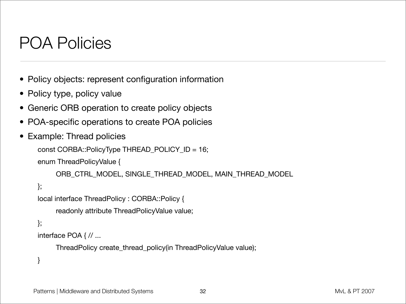### POA Policies

- Policy objects: represent configuration information
- Policy type, policy value
- Generic ORB operation to create policy objects
- POA-specific operations to create POA policies
- Example: Thread policies

```
const CORBA::PolicyType THREAD_POLICY_ID = 16;
```
enum ThreadPolicyValue {

```
ORB_CTRL_MODEL, SINGLE_THREAD_MODEL, MAIN_THREAD_MODEL
```
};

```
local interface ThreadPolicy : CORBA::Policy {
```
readonly attribute ThreadPolicyValue value;

```
};
```

```
interface POA { // ...
```
ThreadPolicy create\_thread\_policy(in ThreadPolicyValue value);

}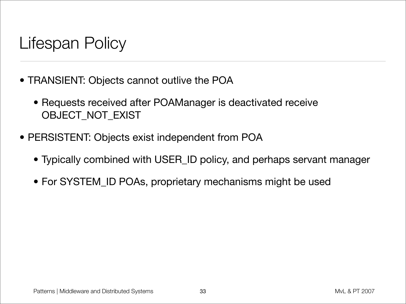## Lifespan Policy

- TRANSIENT: Objects cannot outlive the POA
	- Requests received after POAManager is deactivated receive OBJECT\_NOT\_EXIST
- PERSISTENT: Objects exist independent from POA
	- Typically combined with USER\_ID policy, and perhaps servant manager
	- For SYSTEM\_ID POAs, proprietary mechanisms might be used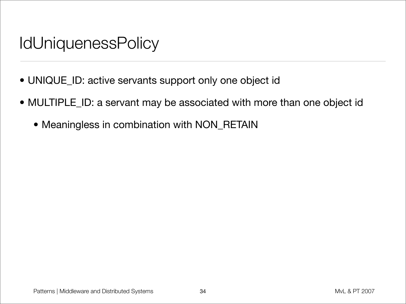#### **IdUniquenessPolicy**

- UNIQUE\_ID: active servants support only one object id
- MULTIPLE\_ID: a servant may be associated with more than one object id
	- Meaningless in combination with NON\_RETAIN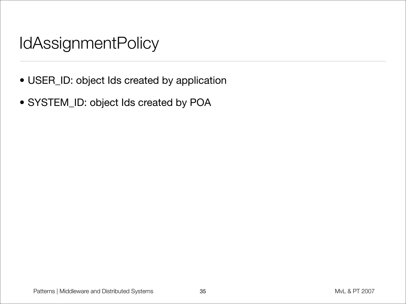## IdAssignmentPolicy

- USER\_ID: object Ids created by application
- SYSTEM\_ID: object Ids created by POA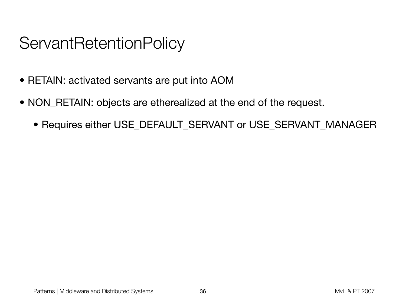### **ServantRetentionPolicy**

- RETAIN: activated servants are put into AOM
- NON\_RETAIN: objects are etherealized at the end of the request.
	- Requires either USE\_DEFAULT\_SERVANT or USE\_SERVANT\_MANAGER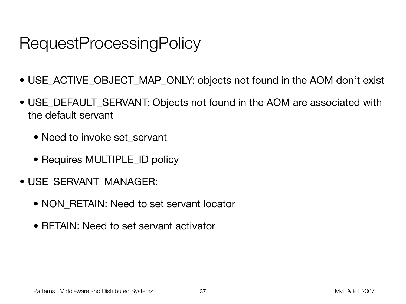### RequestProcessingPolicy

- USE\_ACTIVE\_OBJECT\_MAP\_ONLY: objects not found in the AOM don't exist
- USE\_DEFAULT\_SERVANT: Objects not found in the AOM are associated with the default servant
	- Need to invoke set\_servant
	- Requires MULTIPLE\_ID policy
- USE\_SERVANT\_MANAGER:
	- NON\_RETAIN: Need to set servant locator
	- RETAIN: Need to set servant activator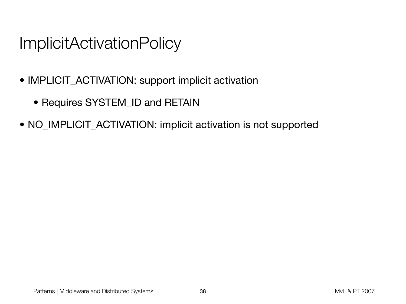### ImplicitActivationPolicy

- IMPLICIT\_ACTIVATION: support implicit activation
	- Requires SYSTEM\_ID and RETAIN
- NO\_IMPLICIT\_ACTIVATION: implicit activation is not supported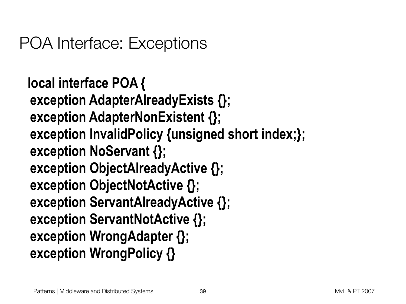```
local interface POA {
exception AdapterAlreadyExists {};
exception AdapterNonExistent {};
exception InvalidPolicy {unsigned short index;};
exception NoServant {};
exception ObjectAlreadyActive {};
exception ObjectNotActive {};
exception ServantAlreadyActive {};
exception ServantNotActive {};
exception WrongAdapter {};
exception WrongPolicy {}
```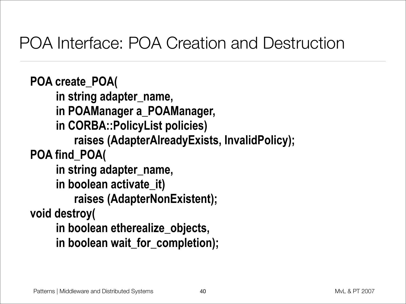### POA Interface: POA Creation and Destruction

**POA create\_POA( in string adapter\_name, in POAManager a\_POAManager, in CORBA::PolicyList policies) raises (AdapterAlreadyExists, InvalidPolicy); POA find\_POA( in string adapter\_name, in boolean activate\_it) raises (AdapterNonExistent); void destroy( in boolean etherealize\_objects, in boolean wait\_for\_completion);**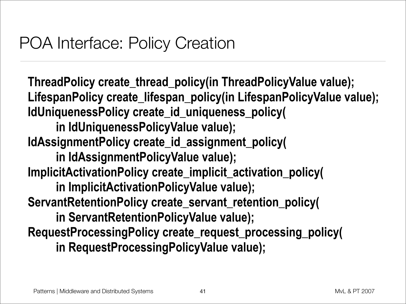**ThreadPolicy create\_thread\_policy(in ThreadPolicyValue value); LifespanPolicy create\_lifespan\_policy(in LifespanPolicyValue value); IdUniquenessPolicy create\_id\_uniqueness\_policy( in IdUniquenessPolicyValue value); IdAssignmentPolicy create\_id\_assignment\_policy( in IdAssignmentPolicyValue value); ImplicitActivationPolicy create\_implicit\_activation\_policy( in ImplicitActivationPolicyValue value); ServantRetentionPolicy create\_servant\_retention\_policy( in ServantRetentionPolicyValue value); RequestProcessingPolicy create\_request\_processing\_policy( in RequestProcessingPolicyValue value);**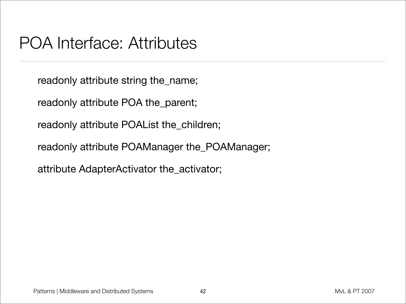#### POA Interface: Attributes

readonly attribute string the\_name;

readonly attribute POA the\_parent;

readonly attribute POAList the\_children;

readonly attribute POAManager the\_POAManager;

attribute AdapterActivator the\_activator;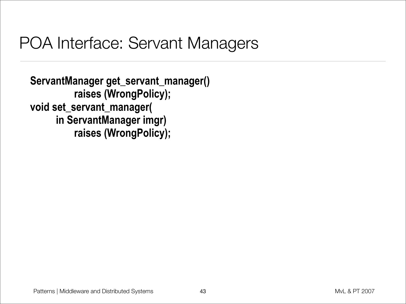### POA Interface: Servant Managers

**ServantManager get\_servant\_manager() raises (WrongPolicy); void set\_servant\_manager( in ServantManager imgr) raises (WrongPolicy);**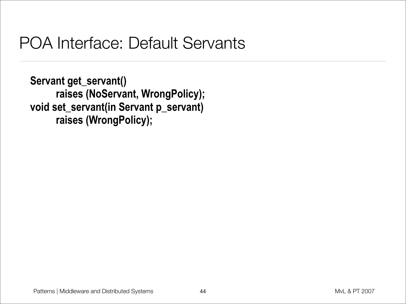## POA Interface: Default Servants

**Servant get\_servant() raises (NoServant, WrongPolicy); void set\_servant(in Servant p\_servant) raises (WrongPolicy);**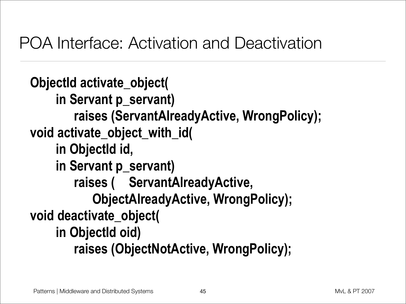**ObjectId activate\_object( in Servant p\_servant) raises (ServantAlreadyActive, WrongPolicy); void activate\_object\_with\_id( in ObjectId id, in Servant p\_servant) raises ( ServantAlreadyActive, ObjectAlreadyActive, WrongPolicy); void deactivate\_object( in ObjectId oid) raises (ObjectNotActive, WrongPolicy);**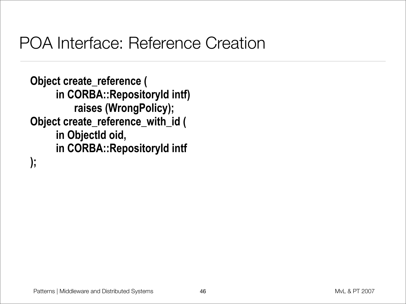### POA Interface: Reference Creation

```
Object create_reference (
     in CORBA::RepositoryId intf)
         raises (WrongPolicy);
Object create_reference_with_id (
     in ObjectId oid,
     in CORBA::RepositoryId intf
);
```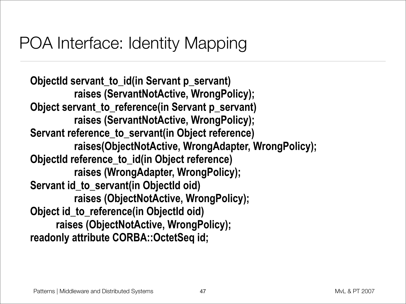## POA Interface: Identity Mapping

```
ObjectId servant_to_id(in Servant p_servant)
         raises (ServantNotActive, WrongPolicy);
Object servant_to_reference(in Servant p_servant)
         raises (ServantNotActive, WrongPolicy);
Servant reference_to_servant(in Object reference)
         raises(ObjectNotActive, WrongAdapter, WrongPolicy);
ObjectId reference_to_id(in Object reference)
         raises (WrongAdapter, WrongPolicy);
Servant id_to_servant(in ObjectId oid)
         raises (ObjectNotActive, WrongPolicy);
Object id_to_reference(in ObjectId oid)
     raises (ObjectNotActive, WrongPolicy);
readonly attribute CORBA::OctetSeq id;
```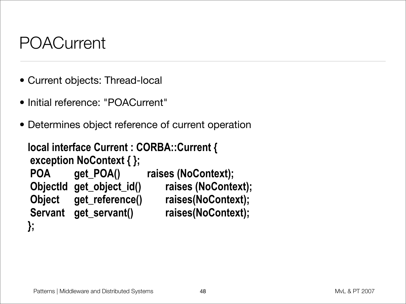# POACurrent

- Current objects: Thread-local
- Initial reference: "POACurrent"
- Determines object reference of current operation

```
local interface Current : CORBA::Current {
exception NoContext { };
POA get_POA() raises (NoContext);
ObjectId get_object_id() raises (NoContext);
Object get_reference() raises(NoContext);
Servant get_servant() raises(NoContext);
};
```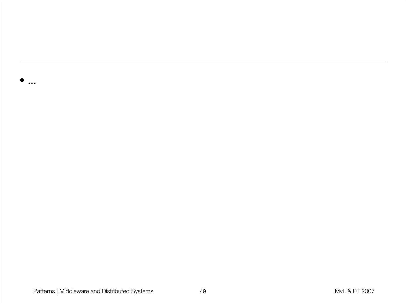Patterns | Middleware and Distributed Systems **49** 49 MyL & PT 2007

 $\bullet$  ...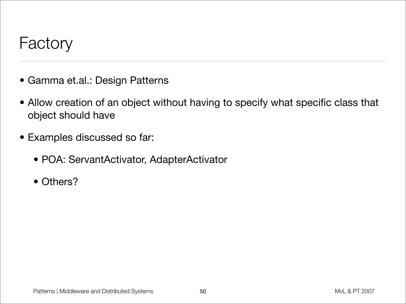#### Factory

- Gamma et.al.: Design Patterns
- Allow creation of an object without having to specify what specific class that object should have
- Examples discussed so far:
	- POA: ServantActivator, AdapterActivator
	- Others?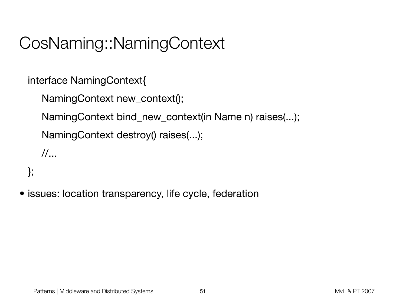# CosNaming::NamingContext

interface NamingContext{

```
NamingContext new_context();
```
NamingContext bind\_new\_context(in Name n) raises(...);

```
NamingContext destroy() raises(...);
```
 $/$ ...

```
};
```
• issues: location transparency, life cycle, federation